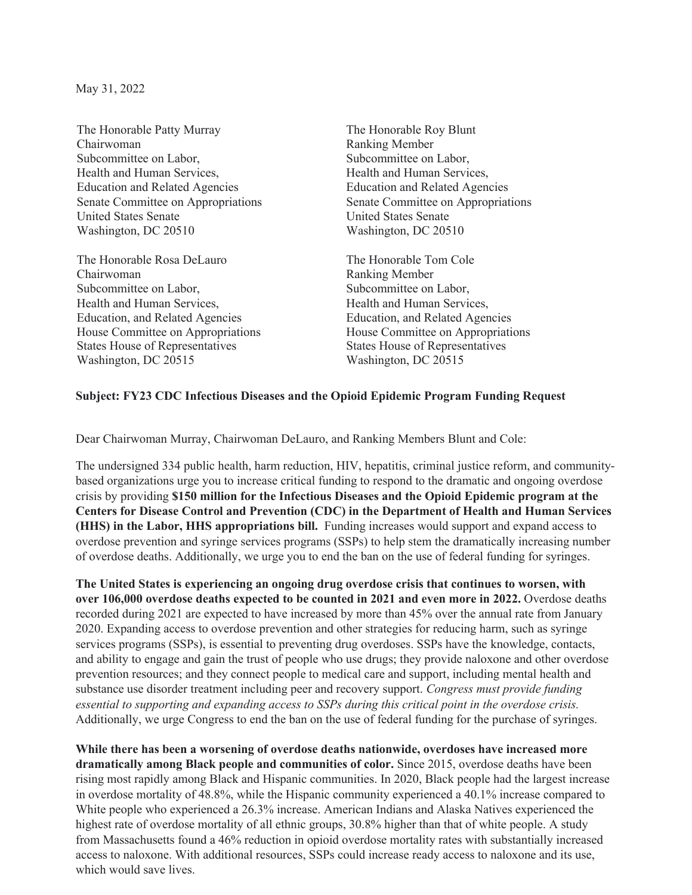May 31, 2022

The Honorable Patty Murray Chairwoman Subcommittee on Labor, Health and Human Services, Education and Related Agencies Senate Committee on Appropriations United States Senate Washington, DC 20510

The Honorable Rosa DeLauro Chairwoman Subcommittee on Labor, Health and Human Services, Education, and Related Agencies House Committee on Appropriations States House of Representatives Washington, DC 20515

The Honorable Roy Blunt Ranking Member Subcommittee on Labor, Health and Human Services, Education and Related Agencies Senate Committee on Appropriations United States Senate Washington, DC 20510

The Honorable Tom Cole Ranking Member Subcommittee on Labor, Health and Human Services, Education, and Related Agencies House Committee on Appropriations States House of Representatives Washington, DC 20515

## **Subject: FY23 CDC Infectious Diseases and the Opioid Epidemic Program Funding Request**

Dear Chairwoman Murray, Chairwoman DeLauro, and Ranking Members Blunt and Cole:

The undersigned 334 public health, harm reduction, HIV, hepatitis, criminal justice reform, and communitybased organizations urge you to increase critical funding to respond to the dramatic and ongoing overdose crisis by providing **\$150 million for the Infectious Diseases and the Opioid Epidemic program at the Centers for Disease Control and Prevention (CDC) in the Department of Health and Human Services (HHS) in the Labor, HHS appropriations bill.** Funding increases would support and expand access to overdose prevention and syringe services programs (SSPs) to help stem the dramatically increasing number of overdose deaths. Additionally, we urge you to end the ban on the use of federal funding for syringes.

**The United States is experiencing an ongoing drug overdose crisis that continues to worsen, with over 106,000 overdose deaths expected to be counted in 2021 and even more in 2022.** Overdose deaths recorded during 2021 are expected to have increased by more than 45% over the annual rate from January 2020. Expanding access to overdose prevention and other strategies for reducing harm, such as syringe services programs (SSPs), is essential to preventing drug overdoses. SSPs have the knowledge, contacts, and ability to engage and gain the trust of people who use drugs; they provide naloxone and other overdose prevention resources; and they connect people to medical care and support, including mental health and substance use disorder treatment including peer and recovery support. *Congress must provide funding essential to supporting and expanding access to SSPs during this critical point in the overdose crisis.* Additionally, we urge Congress to end the ban on the use of federal funding for the purchase of syringes.

**While there has been a worsening of overdose deaths nationwide, overdoses have increased more dramatically among Black people and communities of color.** Since 2015, overdose deaths have been rising most rapidly among Black and Hispanic communities. In 2020, Black people had the largest increase in overdose mortality of 48.8%, while the Hispanic community experienced a 40.1% increase compared to White people who experienced a 26.3% increase. American Indians and Alaska Natives experienced the highest rate of overdose mortality of all ethnic groups, 30.8% higher than that of white people. A study from Massachusetts found a 46% reduction in opioid overdose mortality rates with substantially increased access to naloxone. With additional resources, SSPs could increase ready access to naloxone and its use, which would save lives.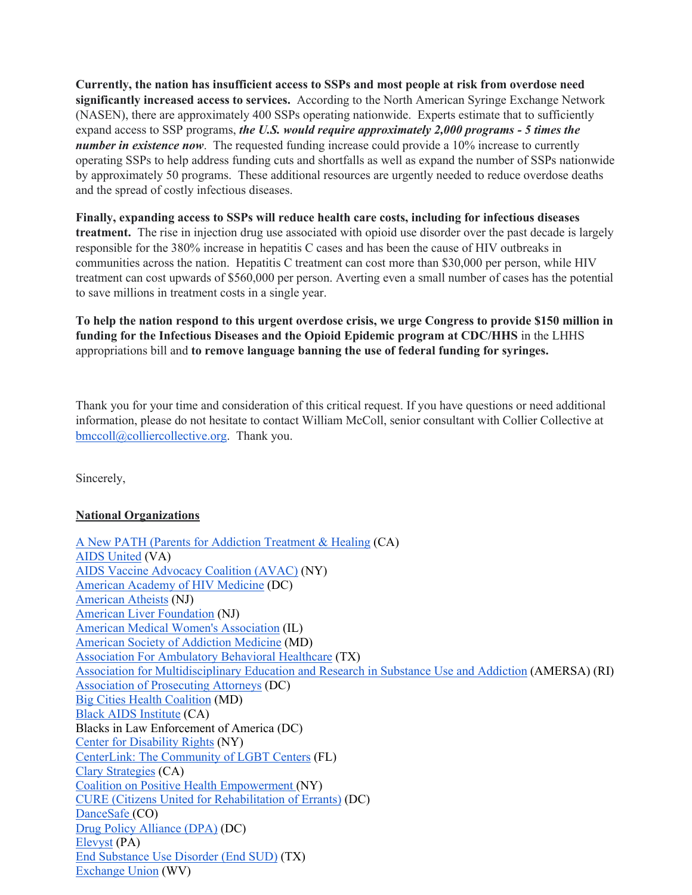**Currently, the nation has insufficient access to SSPs and most people at risk from overdose need significantly increased access to services.** According to the North American Syringe Exchange Network (NASEN), there are approximately 400 SSPs operating nationwide. Experts estimate that to sufficiently expand access to SSP programs, *the U.S. would require approximately 2,000 programs - 5 times the number in existence now.* The requested funding increase could provide a 10% increase to currently operating SSPs to help address funding cuts and shortfalls as well as expand the number of SSPs nationwide by approximately 50 programs. These additional resources are urgently needed to reduce overdose deaths and the spread of costly infectious diseases.

**Finally, expanding access to SSPs will reduce health care costs, including for infectious diseases treatment.** The rise in injection drug use associated with opioid use disorder over the past decade is largely responsible for the 380% increase in hepatitis C cases and has been the cause of HIV outbreaks in communities across the nation. Hepatitis C treatment can cost more than \$30,000 per person, while HIV treatment can cost upwards of \$560,000 per person. Averting even a small number of cases has the potential to save millions in treatment costs in a single year.

**To help the nation respond to this urgent overdose crisis, we urge Congress to provide \$150 million in funding for the Infectious Diseases and the Opioid Epidemic program at CDC/HHS** in the LHHS appropriations bill and **to remove language banning the use of federal funding for syringes.**

Thank you for your time and consideration of this critical request. If you have questions or need additional information, please do not hesitate to contact William McColl, senior consultant with Collier Collective at bmccoll@colliercollective.org. Thank you.

Sincerely,

# **National Organizations**

A New PATH (Parents for Addiction Treatment & Healing (CA) AIDS United (VA) AIDS Vaccine Advocacy Coalition (AVAC) (NY) American Academy of HIV Medicine (DC) American Atheists (NJ) American Liver Foundation (NJ) American Medical Women's Association (IL) American Society of Addiction Medicine (MD) Association For Ambulatory Behavioral Healthcare (TX) Association for Multidisciplinary Education and Research in Substance Use and Addiction (AMERSA) (RI) Association of Prosecuting Attorneys (DC) Big Cities Health Coalition (MD) Black AIDS Institute (CA) Blacks in Law Enforcement of America (DC) Center for Disability Rights (NY) CenterLink: The Community of LGBT Centers (FL) Clary Strategies (CA) Coalition on Positive Health Empowerment (NY) CURE (Citizens United for Rehabilitation of Errants) (DC) DanceSafe (CO) Drug Policy Alliance (DPA) (DC) Elevyst (PA) End Substance Use Disorder (End SUD) (TX) Exchange Union (WV)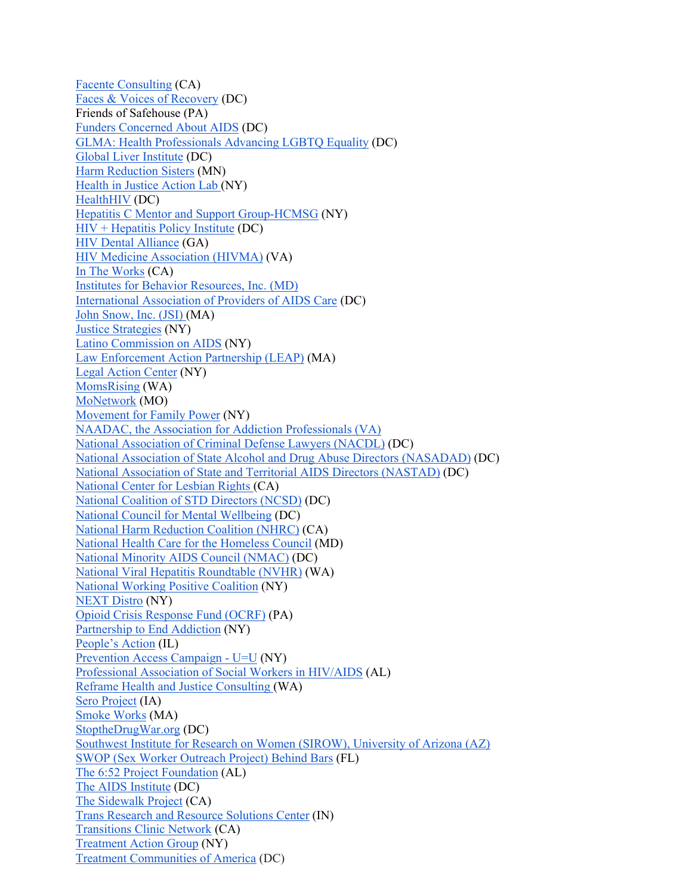Facente Consulting (CA) Faces & Voices of Recovery (DC) Friends of Safehouse (PA) Funders Concerned About AIDS (DC) GLMA: Health Professionals Advancing LGBTQ Equality (DC) Global Liver Institute (DC) Harm Reduction Sisters (MN) Health in Justice Action Lab (NY) HealthHIV (DC) Hepatitis C Mentor and Support Group-HCMSG (NY) HIV + Hepatitis Policy Institute (DC) HIV Dental Alliance (GA) HIV Medicine Association (HIVMA) (VA) In The Works (CA) Institutes for Behavior Resources, Inc. (MD) International Association of Providers of AIDS Care (DC) John Snow, Inc. (JSI) (MA) Justice Strategies (NY) Latino Commission on AIDS (NY) Law Enforcement Action Partnership (LEAP) (MA) Legal Action Center (NY) MomsRising (WA) MoNetwork (MO) Movement for Family Power (NY) NAADAC, the Association for Addiction Professionals (VA) National Association of Criminal Defense Lawyers (NACDL) (DC) National Association of State Alcohol and Drug Abuse Directors (NASADAD) (DC) National Association of State and Territorial AIDS Directors (NASTAD) (DC) National Center for Lesbian Rights (CA) National Coalition of STD Directors (NCSD) (DC) National Council for Mental Wellbeing (DC) National Harm Reduction Coalition (NHRC) (CA) National Health Care for the Homeless Council (MD) National Minority AIDS Council (NMAC) (DC) National Viral Hepatitis Roundtable (NVHR) (WA) National Working Positive Coalition (NY) NEXT Distro (NY) Opioid Crisis Response Fund (OCRF) (PA) Partnership to End Addiction (NY) People's Action (IL) Prevention Access Campaign - U=U (NY) Professional Association of Social Workers in HIV/AIDS (AL) Reframe Health and Justice Consulting (WA) Sero Project (IA) Smoke Works (MA) StoptheDrugWar.org (DC) Southwest Institute for Research on Women (SIROW), University of Arizona (AZ) SWOP (Sex Worker Outreach Project) Behind Bars (FL) The 6:52 Project Foundation (AL) The AIDS Institute (DC) The Sidewalk Project (CA) Trans Research and Resource Solutions Center (IN) Transitions Clinic Network (CA) Treatment Action Group (NY) Treatment Communities of America (DC)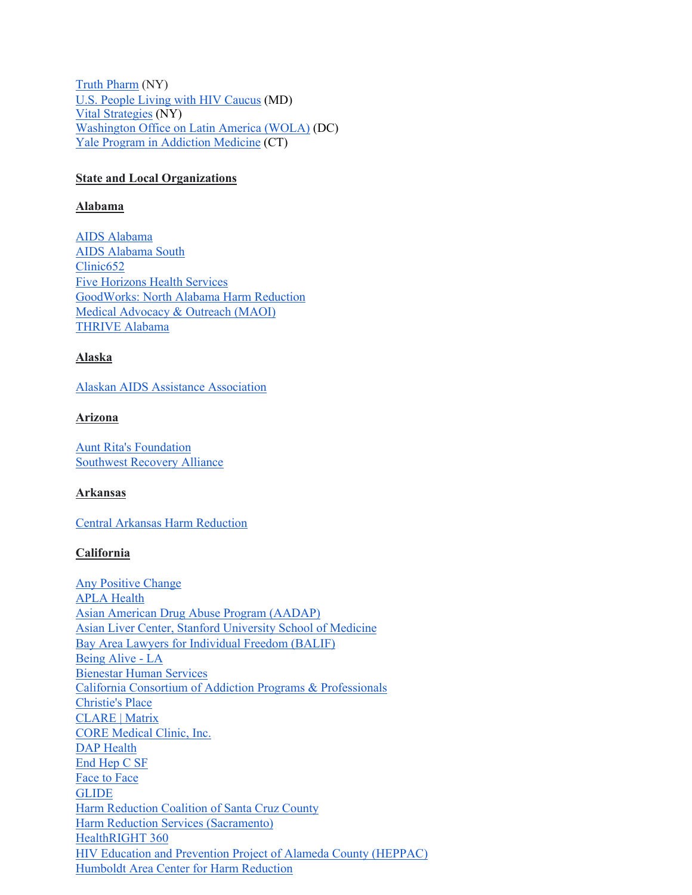Truth Pharm (NY) U.S. People Living with HIV Caucus (MD) Vital Strategies (NY) Washington Office on Latin America (WOLA) (DC) Yale Program in Addiction Medicine (CT)

## **State and Local Organizations**

## **Alabama**

AIDS Alabama AIDS Alabama South Clinic652 Five Horizons Health Services GoodWorks: North Alabama Harm Reduction Medical Advocacy & Outreach (MAOI) THRIVE Alabama

# **Alaska**

Alaskan AIDS Assistance Association

## **Arizona**

Aunt Rita's Foundation Southwest Recovery Alliance

## **Arkansas**

Central Arkansas Harm Reduction

# **California**

Any Positive Change APLA Health Asian American Drug Abuse Program (AADAP) Asian Liver Center, Stanford University School of Medicine Bay Area Lawyers for Individual Freedom (BALIF) Being Alive - LA Bienestar Human Services California Consortium of Addiction Programs & Professionals Christie's Place CLARE | Matrix CORE Medical Clinic, Inc. DAP Health End Hep C SF Face to Face GLIDE Harm Reduction Coalition of Santa Cruz County Harm Reduction Services (Sacramento) HealthRIGHT 360 HIV Education and Prevention Project of Alameda County (HEPPAC) Humboldt Area Center for Harm Reduction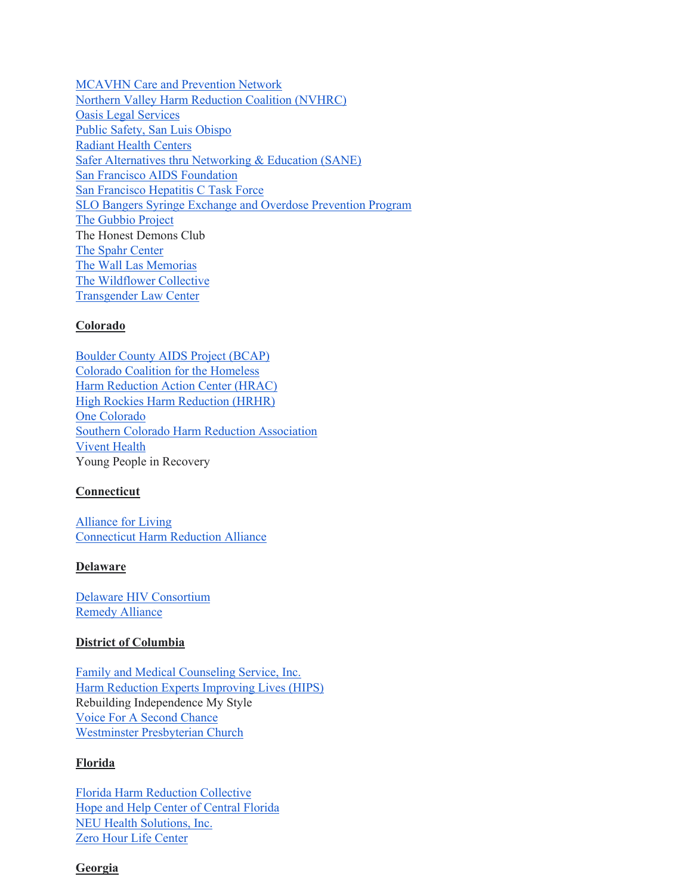MCAVHN Care and Prevention Network Northern Valley Harm Reduction Coalition (NVHRC) Oasis Legal Services Public Safety, San Luis Obispo Radiant Health Centers Safer Alternatives thru Networking & Education (SANE) San Francisco AIDS Foundation San Francisco Hepatitis C Task Force SLO Bangers Syringe Exchange and Overdose Prevention Program The Gubbio Project The Honest Demons Club The Spahr Center The Wall Las Memorias The Wildflower Collective Transgender Law Center

## **Colorado**

Boulder County AIDS Project (BCAP) Colorado Coalition for the Homeless Harm Reduction Action Center (HRAC) High Rockies Harm Reduction (HRHR) One Colorado Southern Colorado Harm Reduction Association Vivent Health Young People in Recovery

## **Connecticut**

Alliance for Living Connecticut Harm Reduction Alliance

## **Delaware**

Delaware HIV Consortium Remedy Alliance

## **District of Columbia**

Family and Medical Counseling Service, Inc. Harm Reduction Experts Improving Lives (HIPS) Rebuilding Independence My Style Voice For A Second Chance Westminster Presbyterian Church

## **Florida**

Florida Harm Reduction Collective Hope and Help Center of Central Florida NEU Health Solutions, Inc. Zero Hour Life Center

#### **Georgia**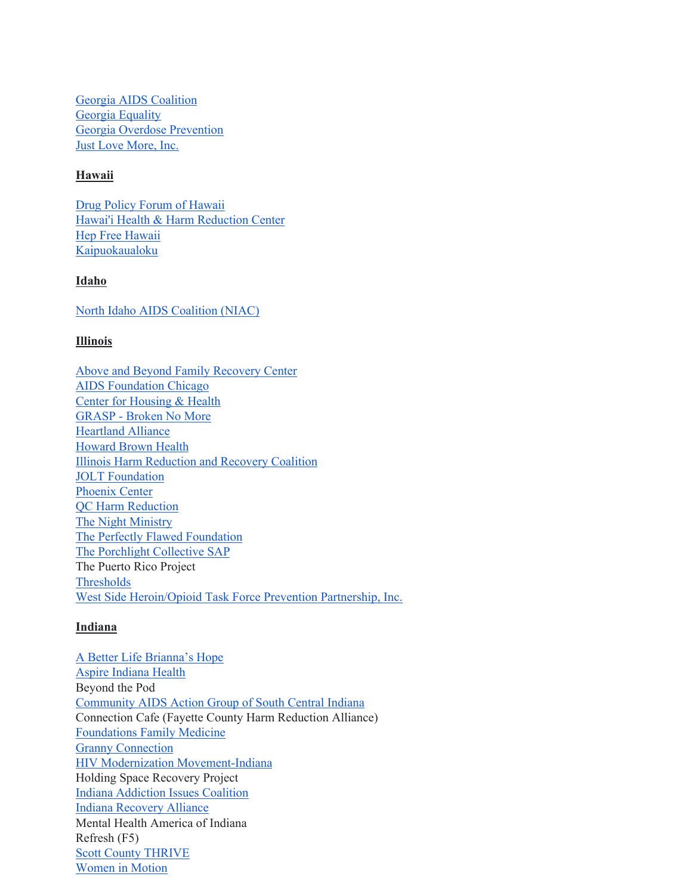Georgia AIDS Coalition Georgia Equality Georgia Overdose Prevention Just Love More, Inc.

## **Hawaii**

Drug Policy Forum of Hawaii Hawai'i Health & Harm Reduction Center Hep Free Hawaii Kaipuokaualoku

#### **Idaho**

North Idaho AIDS Coalition (NIAC)

#### **Illinois**

Above and Beyond Family Recovery Center AIDS Foundation Chicago Center for Housing & Health GRASP - Broken No More Heartland Alliance Howard Brown Health Illinois Harm Reduction and Recovery Coalition JOLT Foundation Phoenix Center QC Harm Reduction The Night Ministry The Perfectly Flawed Foundation The Porchlight Collective SAP The Puerto Rico Project Thresholds West Side Heroin/Opioid Task Force Prevention Partnership, Inc.

## **Indiana**

A Better Life Brianna's Hope Aspire Indiana Health Beyond the Pod Community AIDS Action Group of South Central Indiana Connection Cafe (Fayette County Harm Reduction Alliance) Foundations Family Medicine Granny Connection HIV Modernization Movement-Indiana Holding Space Recovery Project Indiana Addiction Issues Coalition Indiana Recovery Alliance Mental Health America of Indiana Refresh (F5) Scott County THRIVE Women in Motion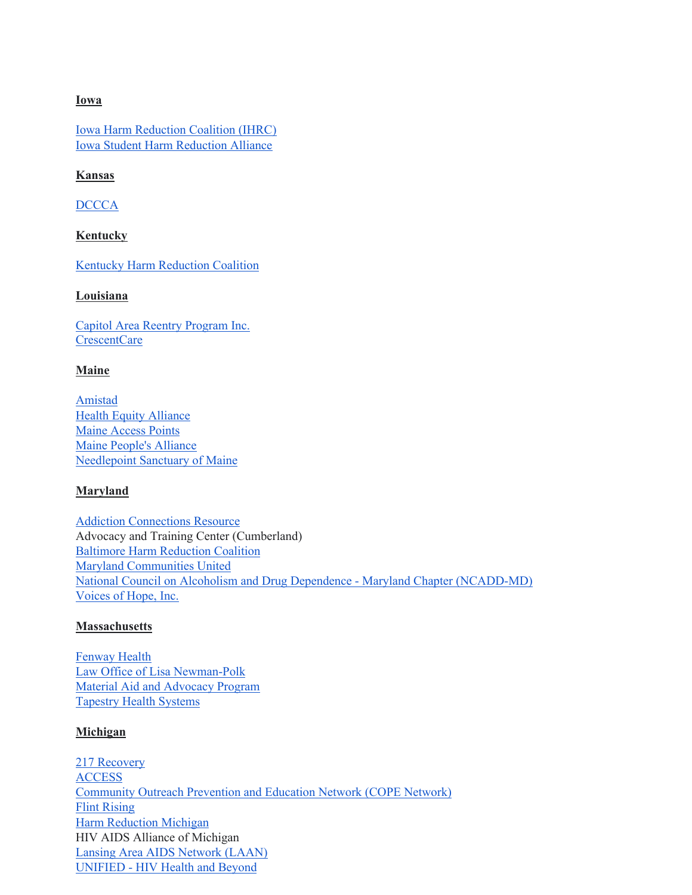## **Iowa**

Iowa Harm Reduction Coalition (IHRC) Iowa Student Harm Reduction Alliance

## **Kansas**

DCCCA

#### **Kentucky**

Kentucky Harm Reduction Coalition

#### **Louisiana**

Capitol Area Reentry Program Inc. CrescentCare

## **Maine**

Amistad Health Equity Alliance Maine Access Points Maine People's Alliance Needlepoint Sanctuary of Maine

## **Maryland**

Addiction Connections Resource Advocacy and Training Center (Cumberland) Baltimore Harm Reduction Coalition Maryland Communities United National Council on Alcoholism and Drug Dependence - Maryland Chapter (NCADD-MD) Voices of Hope, Inc.

#### **Massachusetts**

Fenway Health Law Office of Lisa Newman-Polk Material Aid and Advocacy Program Tapestry Health Systems

#### **Michigan**

217 Recovery ACCESS Community Outreach Prevention and Education Network (COPE Network) Flint Rising Harm Reduction Michigan HIV AIDS Alliance of Michigan Lansing Area AIDS Network (LAAN) UNIFIED - HIV Health and Beyond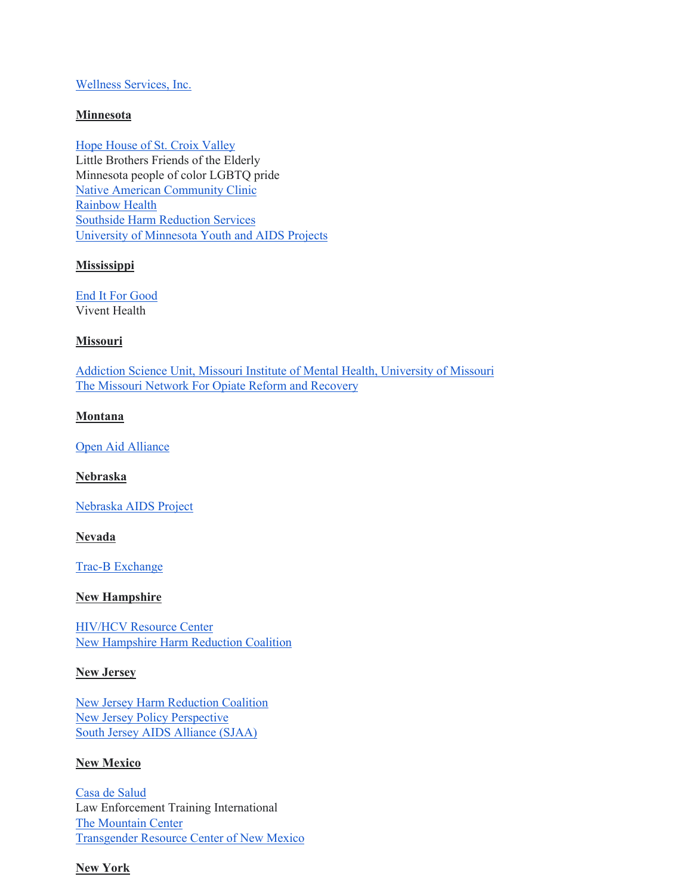### Wellness Services, Inc.

## **Minnesota**

Hope House of St. Croix Valley Little Brothers Friends of the Elderly Minnesota people of color LGBTQ pride Native American Community Clinic Rainbow Health Southside Harm Reduction Services University of Minnesota Youth and AIDS Projects

#### **Mississippi**

End It For Good Vivent Health

#### **Missouri**

Addiction Science Unit, Missouri Institute of Mental Health, University of Missouri The Missouri Network For Opiate Reform and Recovery

## **Montana**

Open Aid Alliance

**Nebraska**

Nebraska AIDS Project

**Nevada**

Trac-B Exchange

## **New Hampshire**

HIV/HCV Resource Center New Hampshire Harm Reduction Coalition

## **New Jersey**

New Jersey Harm Reduction Coalition New Jersey Policy Perspective South Jersey AIDS Alliance (SJAA)

#### **New Mexico**

Casa de Salud Law Enforcement Training International The Mountain Center Transgender Resource Center of New Mexico

## **New York**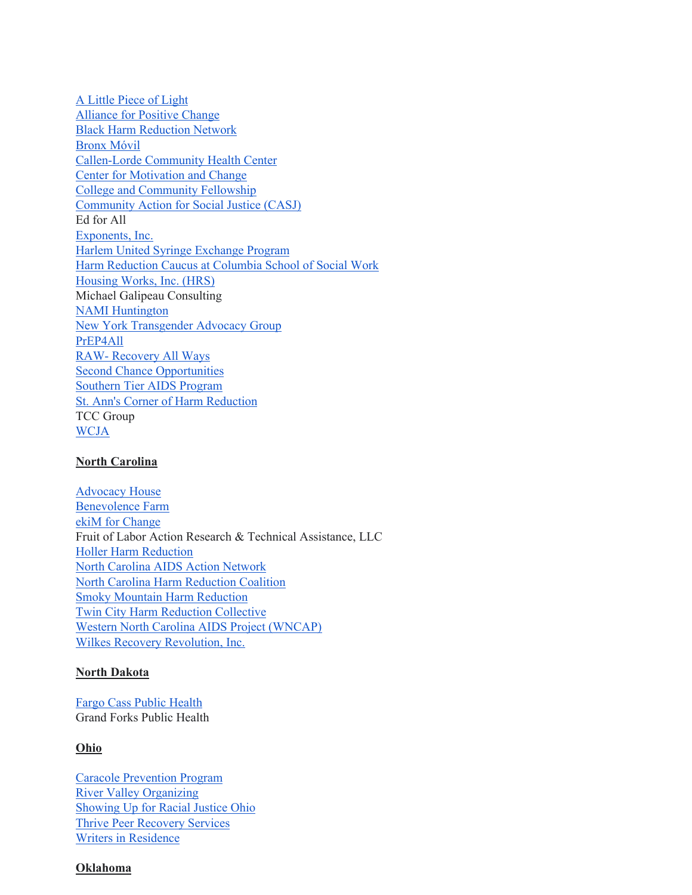A Little Piece of Light Alliance for Positive Change Black Harm Reduction Network Bronx Móvil Callen-Lorde Community Health Center Center for Motivation and Change College and Community Fellowship Community Action for Social Justice (CASJ) Ed for All Exponents, Inc. Harlem United Syringe Exchange Program Harm Reduction Caucus at Columbia School of Social Work Housing Works, Inc. (HRS) Michael Galipeau Consulting NAMI Huntington New York Transgender Advocacy Group PrEP4All RAW- Recovery All Ways Second Chance Opportunities Southern Tier AIDS Program St. Ann's Corner of Harm Reduction TCC Group WCJA

## **North Carolina**

Advocacy House Benevolence Farm ekiM for Change Fruit of Labor Action Research & Technical Assistance, LLC Holler Harm Reduction North Carolina AIDS Action Network North Carolina Harm Reduction Coalition Smoky Mountain Harm Reduction Twin City Harm Reduction Collective Western North Carolina AIDS Project (WNCAP) Wilkes Recovery Revolution, Inc.

#### **North Dakota**

Fargo Cass Public Health Grand Forks Public Health

# **Ohio**

Caracole Prevention Program River Valley Organizing Showing Up for Racial Justice Ohio Thrive Peer Recovery Services Writers in Residence

#### **Oklahoma**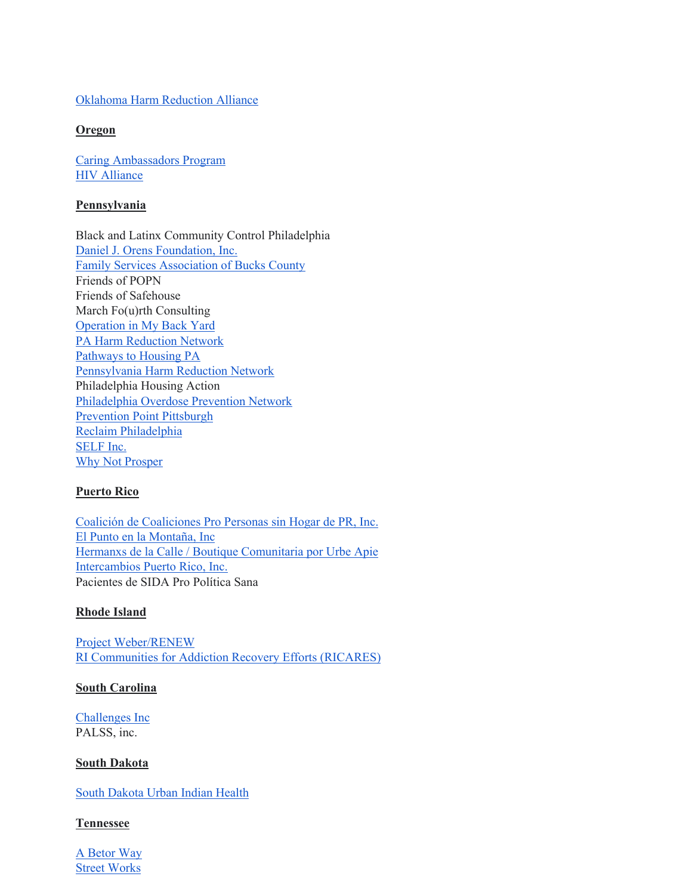## Oklahoma Harm Reduction Alliance

## **Oregon**

Caring Ambassadors Program HIV Alliance

## **Pennsylvania**

Black and Latinx Community Control Philadelphia Daniel J. Orens Foundation, Inc. Family Services Association of Bucks County Friends of POPN Friends of Safehouse March Fo(u)rth Consulting Operation in My Back Yard PA Harm Reduction Network Pathways to Housing PA Pennsylvania Harm Reduction Network Philadelphia Housing Action Philadelphia Overdose Prevention Network Prevention Point Pittsburgh Reclaim Philadelphia SELF Inc. Why Not Prosper

# **Puerto Rico**

Coalición de Coaliciones Pro Personas sin Hogar de PR, Inc. El Punto en la Montaña, Inc Hermanxs de la Calle / Boutique Comunitaria por Urbe Apie Intercambios Puerto Rico, Inc. Pacientes de SIDA Pro Política Sana

# **Rhode Island**

Project Weber/RENEW RI Communities for Addiction Recovery Efforts (RICARES)

## **South Carolina**

Challenges Inc PALSS, inc.

## **South Dakota**

South Dakota Urban Indian Health

## **Tennessee**

A Betor Way Street Works